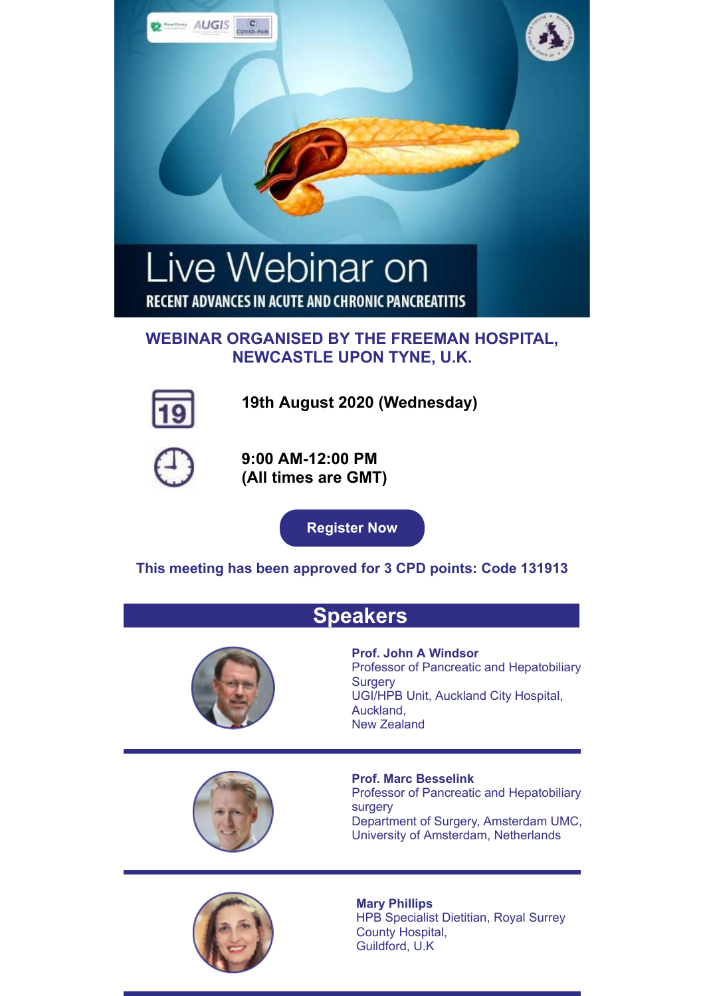



**19th August 2020 (Wednesday)**



**9:00 AM-12:00 PM (All times are GMT)**

**[Register Now](https://register.gotowebinar.com/register/1654774204165706254)**

**This meeting has been approved for 3 CPD points: Code 131913**

## **Speakers**



**Prof. John A Windsor** Professor of Pancreatic and Hepatobiliary **Surgery** UGI/HPB Unit, Auckland City Hospital, Auckland, New Zealand



**Prof. Marc Besselink**

Professor of Pancreatic and Hepatobiliary surgery Department of Surgery, Amsterdam UMC, University of Amsterdam, Netherlands

**Mary Phillips** HPB Specialist Dietitian, Royal Surrey County Hospital, Guildford, U.K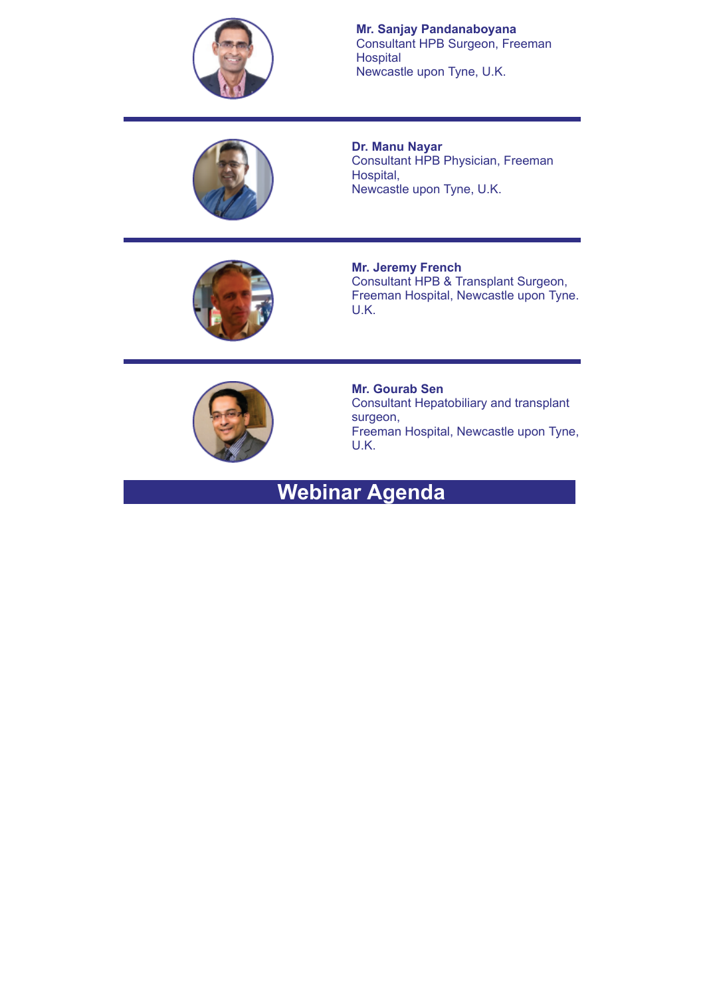

**Mr. Sanjay Pandanaboyana** Consultant HPB Surgeon, Freeman **Hospital** Newcastle upon Tyne, U.K.



**Dr. Manu Nayar** Consultant HPB Physician, Freeman Hospital, Newcastle upon Tyne, U.K.



**Mr. Jeremy French** Consultant HPB & Transplant Surgeon, Freeman Hospital, Newcastle upon Tyne. U.K.



**Mr. Gourab Sen** Consultant Hepatobiliary and transplant surgeon, Freeman Hospital, Newcastle upon Tyne, U.K.

# **Webinar Agenda**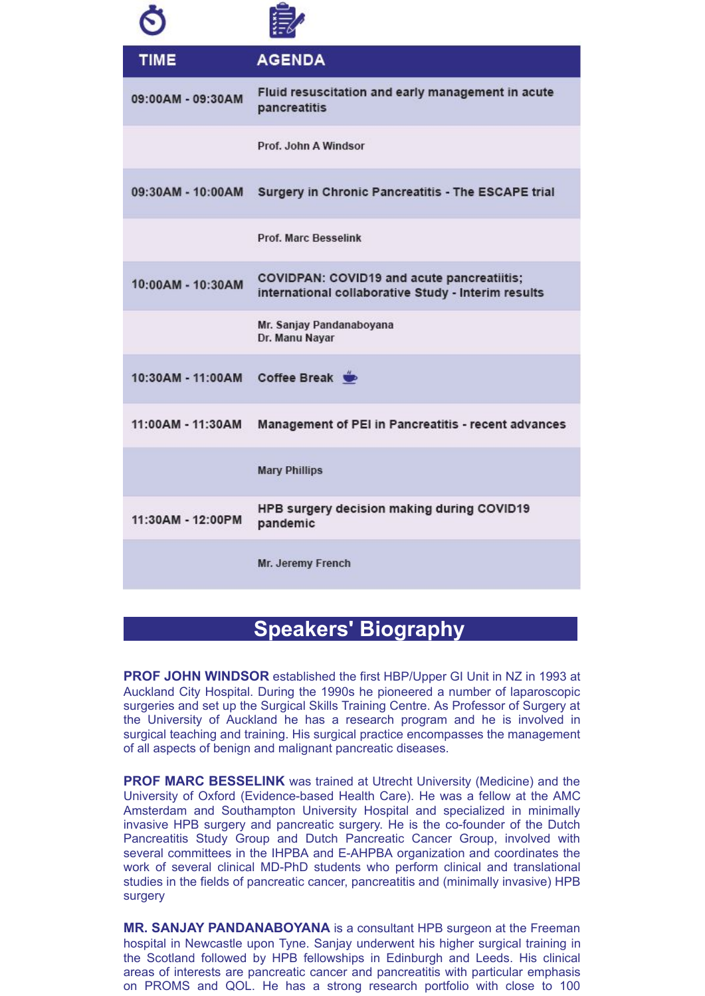| <b>TIME</b>       | <b>AGENDA</b>                                                                                     |
|-------------------|---------------------------------------------------------------------------------------------------|
| 09:00AM - 09:30AM | Fluid resuscitation and early management in acute<br>pancreatitis                                 |
|                   | Prof. John A Windsor                                                                              |
| 09:30AM - 10:00AM | Surgery in Chronic Pancreatitis - The ESCAPE trial                                                |
|                   | Prof. Marc Besselink                                                                              |
| 10:00AM - 10:30AM | COVIDPAN: COVID19 and acute pancreatiitis;<br>international collaborative Study - Interim results |
|                   | Mr. Sanjay Pandanaboyana<br>Dr. Manu Nayar                                                        |
| 10:30AM - 11:00AM | Coffee Break                                                                                      |
| 11:00AM - 11:30AM | Management of PEI in Pancreatitis - recent advances                                               |
|                   | <b>Mary Phillips</b>                                                                              |
| 11:30AM - 12:00PM | HPB surgery decision making during COVID19<br>pandemic                                            |
|                   | Mr. Jeremy French                                                                                 |

## **Speakers' Biography**

**PROF JOHN WINDSOR** established the first HBP/Upper GI Unit in NZ in 1993 at Auckland City Hospital. During the 1990s he pioneered a number of laparoscopic surgeries and set up the Surgical Skills Training Centre. As Professor of Surgery at the University of Auckland he has a research program and he is involved in surgical teaching and training. His surgical practice encompasses the management of all aspects of benign and malignant pancreatic diseases.

**PROF MARC BESSELINK** was trained at Utrecht University (Medicine) and the University of Oxford (Evidence-based Health Care). He was a fellow at the AMC Amsterdam and Southampton University Hospital and specialized in minimally invasive HPB surgery and pancreatic surgery. He is the co-founder of the Dutch Pancreatitis Study Group and Dutch Pancreatic Cancer Group, involved with several committees in the IHPBA and E-AHPBA organization and coordinates the work of several clinical MD-PhD students who perform clinical and translational studies in the fields of pancreatic cancer, pancreatitis and (minimally invasive) HPB surgery

**MR. SANJAY PANDANABOYANA** is a consultant HPB surgeon at the Freeman hospital in Newcastle upon Tyne. Sanjay underwent his higher surgical training in the Scotland followed by HPB fellowships in Edinburgh and Leeds. His clinical areas of interests are pancreatic cancer and pancreatitis with particular emphasis on PROMS and QOL. He has a strong research portfolio with close to 100